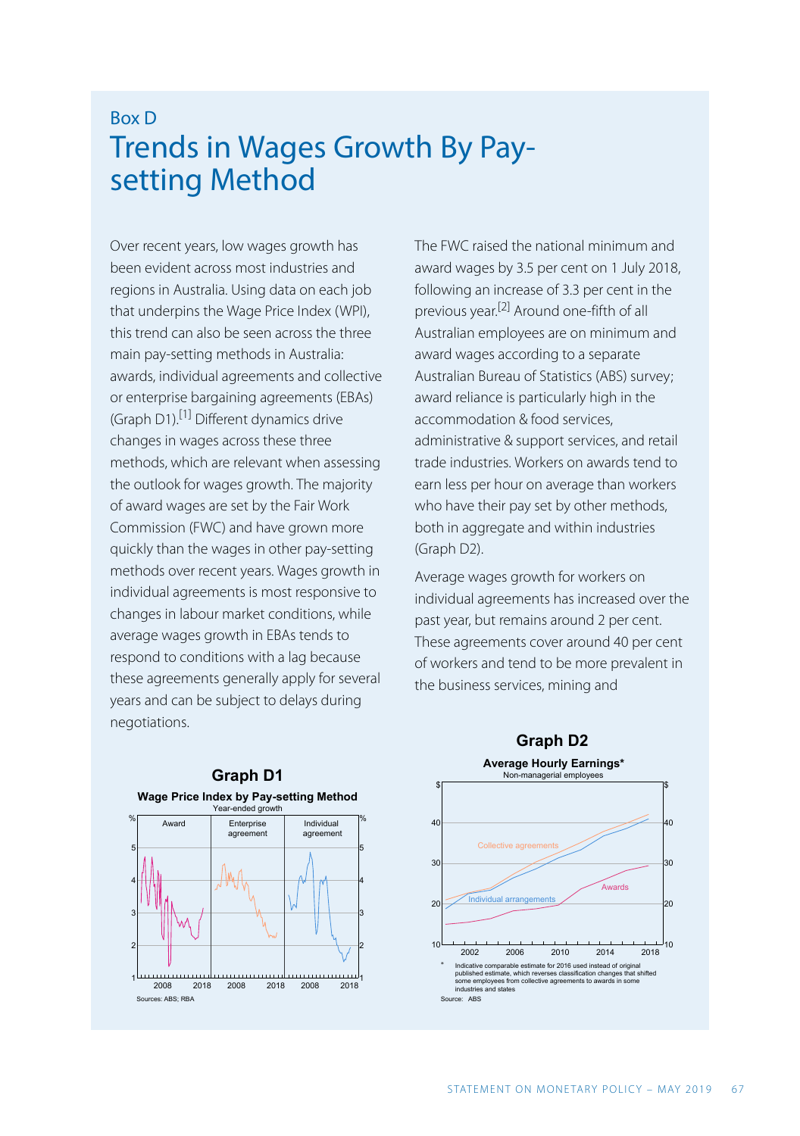## Box D Trends in Wages Growth By Paysetting Method

Over recent years, low wages growth has been evident across most industries and regions in Australia. Using data on each job that underpins the Wage Price Index (WPI), this trend can also be seen across the three main pay-setting methods in Australia: awards, individual agreements and collective or enterprise bargaining agreements (EBAs) (Graph D1).[1] Different dynamics drive changes in wages across these three methods, which are relevant when assessing the outlook for wages growth. The majority of award wages are set by the Fair Work Commission (FWC) and have grown more quickly than the wages in other pay-setting methods over recent years. Wages growth in individual agreements is most responsive to changes in labour market conditions, while average wages growth in EBAs tends to respond to conditions with a lag because these agreements generally apply for several years and can be subject to delays during negotiations.

The FWC raised the national minimum and award wages by 3.5 per cent on 1 July 2018, following an increase of 3.3 per cent in the previous year. [2] Around one-fifth of all Australian employees are on minimum and award wages according to a separate Australian Bureau of Statistics (ABS) survey; award reliance is particularly high in the accommodation & food services, administrative & support services, and retail trade industries. Workers on awards tend to earn less per hour on average than workers who have their pay set by other methods, both in aggregate and within industries (Graph D2).

Average wages growth for workers on individual agreements has increased over the past year, but remains around 2 per cent. These agreements cover around 40 per cent of workers and tend to be more prevalent in the business services, mining and